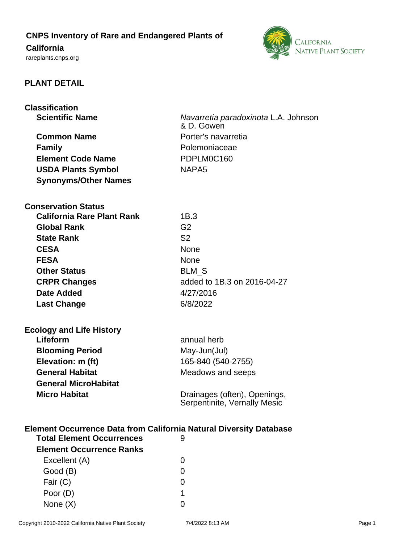## **CNPS Inventory of Rare and Endangered Plants of**

# **California**

<rareplants.cnps.org>



## **PLANT DETAIL**

**Classification**

| assification<br><b>Scientific Name</b> | Navarretia paradoxinota L.A. Johnson<br>& D. Gowen |  |
|----------------------------------------|----------------------------------------------------|--|
| <b>Common Name</b>                     | Porter's navarretia                                |  |
| <b>Family</b>                          | Polemoniaceae                                      |  |
| <b>Element Code Name</b>               | PDPLM0C160                                         |  |
| <b>USDA Plants Symbol</b>              | NAPA <sub>5</sub>                                  |  |
| <b>Synonyms/Other Names</b>            |                                                    |  |

**Conservation Status**

| <b>California Rare Plant Rank</b> | 1B.3                        |
|-----------------------------------|-----------------------------|
| <b>Global Rank</b>                | G2                          |
| <b>State Rank</b>                 | S <sub>2</sub>              |
| <b>CESA</b>                       | <b>None</b>                 |
| <b>FESA</b>                       | <b>None</b>                 |
| <b>Other Status</b>               | <b>BLM S</b>                |
| <b>CRPR Changes</b>               | added to 1B.3 on 2016-04-27 |
| <b>Date Added</b>                 | 4/27/2016                   |
| <b>Last Change</b>                | 6/8/2022                    |

| <b>Ecology and Life History</b> |                                                              |  |
|---------------------------------|--------------------------------------------------------------|--|
| Lifeform                        | annual herb                                                  |  |
| <b>Blooming Period</b>          | May-Jun(Jul)                                                 |  |
| Elevation: m (ft)               | 165-840 (540-2755)                                           |  |
| <b>General Habitat</b>          | Meadows and seeps                                            |  |
| <b>General MicroHabitat</b>     |                                                              |  |
| <b>Micro Habitat</b>            | Drainages (often), Openings,<br>Serpentinite, Vernally Mesic |  |

## **Element Occurrence Data from California Natural Diversity Database**

| <b>Total Element Occurrences</b> |                   |
|----------------------------------|-------------------|
| <b>Element Occurrence Ranks</b>  |                   |
| Excellent (A)                    | $\mathbf{\Omega}$ |
| Good (B)                         | O                 |
| Fair (C)                         | $\mathbf{\Omega}$ |
| Poor (D)                         | 1                 |
| None $(X)$                       |                   |